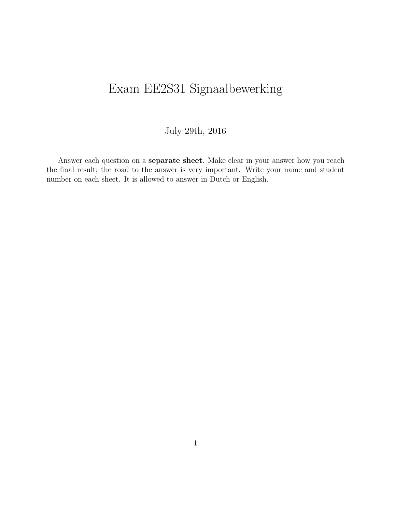# Exam EE2S31 Signaalbewerking

#### July 29th, 2016

Answer each question on a separate sheet. Make clear in your answer how you reach the final result; the road to the answer is very important. Write your name and student number on each sheet. It is allowed to answer in Dutch or English.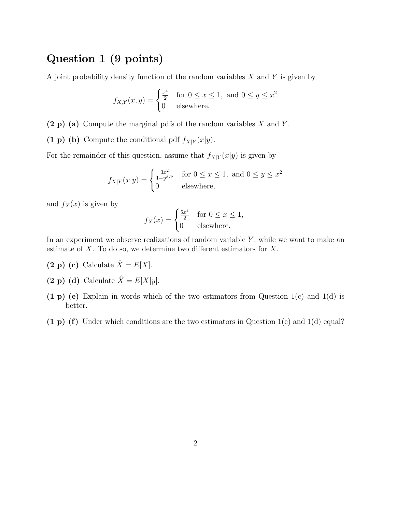## Question 1 (9 points)

A joint probability density function of the random variables  $X$  and  $Y$  is given by

$$
f_{X,Y}(x,y) = \begin{cases} \frac{x^4}{2} & \text{for } 0 \le x \le 1, \text{ and } 0 \le y \le x^2\\ 0 & \text{elsewhere.} \end{cases}
$$

 $(2 p)$  (a) Compute the marginal pdfs of the random variables X and Y.

(1 p) (b) Compute the conditional pdf  $f_{X|Y}(x|y)$ .

For the remainder of this question, assume that  $f_{X|Y}(x|y)$  is given by

$$
f_{X|Y}(x|y) = \begin{cases} \frac{3x^2}{1-y^{3/2}} & \text{for } 0 \le x \le 1, \text{ and } 0 \le y \le x^2\\ 0 & \text{elsewhere,} \end{cases}
$$

and  $f_X(x)$  is given by

$$
f_X(x) = \begin{cases} \frac{5x^4}{2} & \text{for } 0 \le x \le 1, \\ 0 & \text{elsewhere.} \end{cases}
$$

In an experiment we observe realizations of random variable  $Y$ , while we want to make an estimate of  $X$ . To do so, we determine two different estimators for  $X$ .

- (2 p) (c) Calculate  $\hat{X} = E[X]$ .
- (2 p) (d) Calculate  $\hat{X} = E[X|y]$ .
- (1 p) (e) Explain in words which of the two estimators from Question  $1(c)$  and  $1(d)$  is better.
- (1 p) (f) Under which conditions are the two estimators in Question  $1(c)$  and  $1(d)$  equal?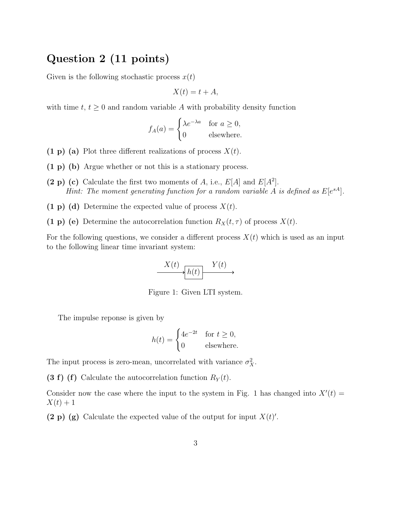#### Question 2 (11 points)

Given is the following stochastic process  $x(t)$ 

$$
X(t) = t + A,
$$

with time  $t, t \geq 0$  and random variable A with probability density function

$$
f_A(a) = \begin{cases} \lambda e^{-\lambda a} & \text{for } a \ge 0, \\ 0 & \text{elsewhere.} \end{cases}
$$

- (1 p) (a) Plot three different realizations of process  $X(t)$ .
- (1 p) (b) Argue whether or not this is a stationary process.
- (2 p) (c) Calculate the first two moments of A, i.e.,  $E[A]$  and  $E[A^2]$ . Hint: The moment generating function for a random variable A is defined as  $E[e^{sA}]$ .
- (1 p) (d) Determine the expected value of process  $X(t)$ .
- (1 p) (e) Determine the autocorrelation function  $R_X(t, \tau)$  of process  $X(t)$ .

For the following questions, we consider a different process  $X(t)$  which is used as an input to the following linear time invariant system:

$$
X(t) \xrightarrow{X(t)} Y(t)
$$

Figure 1: Given LTI system.

The impulse reponse is given by

$$
h(t) = \begin{cases} 4e^{-2t} & \text{for } t \ge 0, \\ 0 & \text{elsewhere.} \end{cases}
$$

The input process is zero-mean, uncorrelated with variance  $\sigma_X^2$ .

(3 f) (f) Calculate the autocorrelation function  $R_Y(t)$ .

Consider now the case where the input to the system in Fig. 1 has changed into  $X'(t) =$  $X(t) + 1$ 

(2 p) (g) Calculate the expected value of the output for input  $X(t)$ .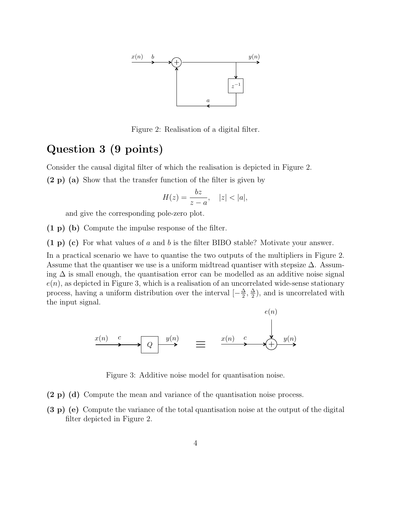

Figure 2: Realisation of a digital filter.

### Question 3 (9 points)

Consider the causal digital filter of which the realisation is depicted in Figure 2.

(2 p) (a) Show that the transfer function of the filter is given by

$$
H(z) = \frac{bz}{z - a}, \quad |z| < |a|,
$$

and give the corresponding pole-zero plot.

(1 p) (b) Compute the impulse response of the filter.

(1 p) (c) For what values of a and b is the filter BIBO stable? Motivate your answer.

In a practical scenario we have to quantise the two outputs of the multipliers in Figure 2. Assume that the quantiser we use is a uniform midtread quantiser with stepsize  $\Delta$ . Assuming  $\Delta$  is small enough, the quantisation error can be modelled as an additive noise signal  $e(n)$ , as depicted in Figure 3, which is a realisation of an uncorrelated wide-sense stationary process, having a uniform distribution over the interval  $\left[-\frac{\Delta}{2}\right]$  $\frac{\Delta}{2}$ ,  $\frac{\Delta}{2}$  $\frac{\Delta}{2}$ ), and is uncorrelated with the input signal.



Figure 3: Additive noise model for quantisation noise.

- (2 p) (d) Compute the mean and variance of the quantisation noise process.
- (3 p) (e) Compute the variance of the total quantisation noise at the output of the digital filter depicted in Figure 2.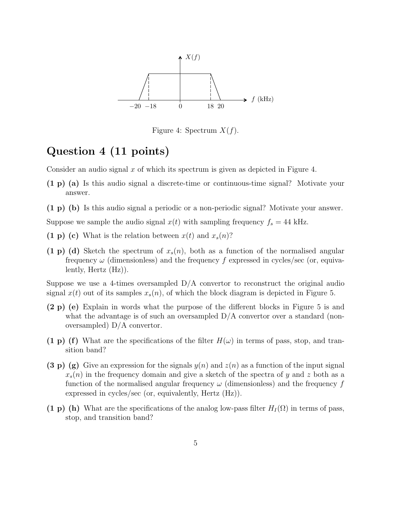

Figure 4: Spectrum  $X(f)$ .

## Question 4 (11 points)

Consider an audio signal x of which its spectrum is given as depicted in Figure 4.

- (1 p) (a) Is this audio signal a discrete-time or continuous-time signal? Motivate your answer.
- (1 p) (b) Is this audio signal a periodic or a non-periodic signal? Motivate your answer.

Suppose we sample the audio signal  $x(t)$  with sampling frequency  $f_s = 44$  kHz.

- (1 p) (c) What is the relation between  $x(t)$  and  $x_s(n)$ ?
- (1 p) (d) Sketch the spectrum of  $x_s(n)$ , both as a function of the normalised angular frequency  $\omega$  (dimensionless) and the frequency f expressed in cycles/sec (or, equivalently, Hertz (Hz)).

Suppose we use a 4-times oversampled  $D/A$  convertor to reconstruct the original audio signal  $x(t)$  out of its samples  $x_s(n)$ , of which the block diagram is depicted in Figure 5.

- (2 p) (e) Explain in words what the purpose of the different blocks in Figure 5 is and what the advantage is of such an oversampled  $D/A$  convertor over a standard (nonoversampled) D/A convertor.
- (1 p) (f) What are the specifications of the filter  $H(\omega)$  in terms of pass, stop, and transition band?
- (3 p) (g) Give an expression for the signals  $y(n)$  and  $z(n)$  as a function of the input signal  $x_s(n)$  in the frequency domain and give a sketch of the spectra of y and z both as a function of the normalised angular frequency  $\omega$  (dimensionless) and the frequency f expressed in cycles/sec (or, equivalently, Hertz (Hz)).
- (1 p) (h) What are the specifications of the analog low-pass filter  $H_I(\Omega)$  in terms of pass, stop, and transition band?